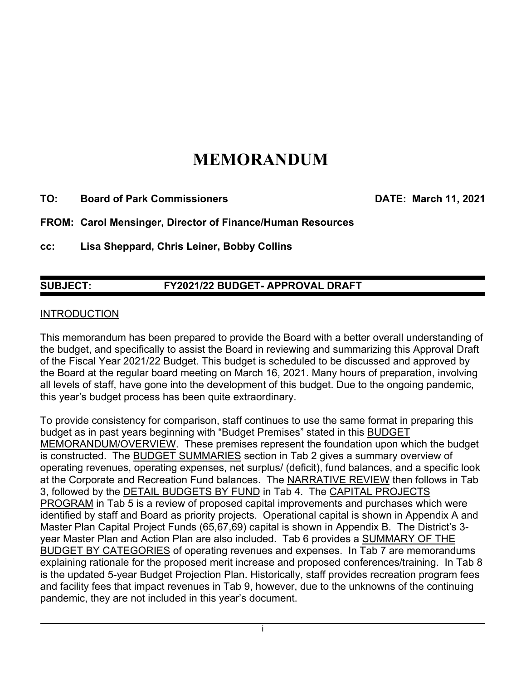# **MEMORANDUM**

**TO: Board of Park Commissioners DATE: March 11, 2021** 

**FROM: Carol Mensinger, Director of Finance/Human Resources** 

**cc: Lisa Sheppard, Chris Leiner, Bobby Collins** 

# **SUBJECT: FY2021/22 BUDGET- APPROVAL DRAFT**

#### **INTRODUCTION**

This memorandum has been prepared to provide the Board with a better overall understanding of the budget, and specifically to assist the Board in reviewing and summarizing this Approval Draft of the Fiscal Year 2021/22 Budget. This budget is scheduled to be discussed and approved by the Board at the regular board meeting on March 16, 2021. Many hours of preparation, involving all levels of staff, have gone into the development of this budget. Due to the ongoing pandemic, this year's budget process has been quite extraordinary.

To provide consistency for comparison, staff continues to use the same format in preparing this budget as in past years beginning with "Budget Premises" stated in this BUDGET MEMORANDUM/OVERVIEW. These premises represent the foundation upon which the budget is constructed. The BUDGET SUMMARIES section in Tab 2 gives a summary overview of operating revenues, operating expenses, net surplus/ (deficit), fund balances, and a specific look at the Corporate and Recreation Fund balances. The NARRATIVE REVIEW then follows in Tab 3, followed by the DETAIL BUDGETS BY FUND in Tab 4. The CAPITAL PROJECTS PROGRAM in Tab 5 is a review of proposed capital improvements and purchases which were identified by staff and Board as priority projects. Operational capital is shown in Appendix A and Master Plan Capital Project Funds (65,67,69) capital is shown in Appendix B. The District's 3 year Master Plan and Action Plan are also included. Tab 6 provides a SUMMARY OF THE BUDGET BY CATEGORIES of operating revenues and expenses. In Tab 7 are memorandums explaining rationale for the proposed merit increase and proposed conferences/training. In Tab 8 is the updated 5-year Budget Projection Plan. Historically, staff provides recreation program fees and facility fees that impact revenues in Tab 9, however, due to the unknowns of the continuing pandemic, they are not included in this year's document.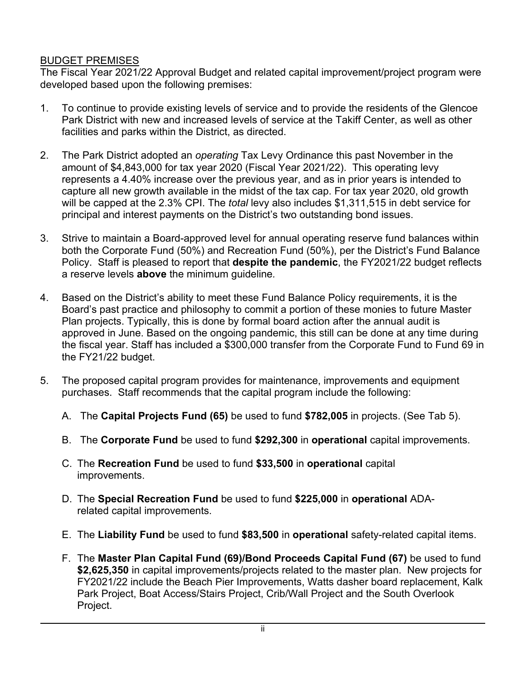## BUDGET PREMISES

The Fiscal Year 2021/22 Approval Budget and related capital improvement/project program were developed based upon the following premises:

- 1. To continue to provide existing levels of service and to provide the residents of the Glencoe Park District with new and increased levels of service at the Takiff Center, as well as other facilities and parks within the District, as directed.
- 2. The Park District adopted an *operating* Tax Levy Ordinance this past November in the amount of \$4,843,000 for tax year 2020 (Fiscal Year 2021/22). This operating levy represents a 4.40% increase over the previous year, and as in prior years is intended to capture all new growth available in the midst of the tax cap. For tax year 2020, old growth will be capped at the 2.3% CPI. The *total* levy also includes \$1,311,515 in debt service for principal and interest payments on the District's two outstanding bond issues.
- 3. Strive to maintain a Board-approved level for annual operating reserve fund balances within both the Corporate Fund (50%) and Recreation Fund (50%), per the District's Fund Balance Policy. Staff is pleased to report that **despite the pandemic**, the FY2021/22 budget reflects a reserve levels **above** the minimum guideline*.*
- 4. Based on the District's ability to meet these Fund Balance Policy requirements, it is the Board's past practice and philosophy to commit a portion of these monies to future Master Plan projects. Typically, this is done by formal board action after the annual audit is approved in June. Based on the ongoing pandemic, this still can be done at any time during the fiscal year. Staff has included a \$300,000 transfer from the Corporate Fund to Fund 69 in the FY21/22 budget.
- 5. The proposed capital program provides for maintenance, improvements and equipment purchases. Staff recommends that the capital program include the following:
	- A. The **Capital Projects Fund (65)** be used to fund **\$782,005** in projects. (See Tab 5).
	- B. The **Corporate Fund** be used to fund **\$292,300** in **operational** capital improvements.
	- C. The **Recreation Fund** be used to fund **\$33,500** in **operational** capital improvements.
	- D. The **Special Recreation Fund** be used to fund **\$225,000** in **operational** ADArelated capital improvements.
	- E. The **Liability Fund** be used to fund **\$83,500** in **operational** safety-related capital items.
	- F. The **Master Plan Capital Fund (69)/Bond Proceeds Capital Fund (67)** be used to fund **\$2,625,350** in capital improvements/projects related to the master plan. New projects for FY2021/22 include the Beach Pier Improvements, Watts dasher board replacement, Kalk Park Project, Boat Access/Stairs Project, Crib/Wall Project and the South Overlook Project.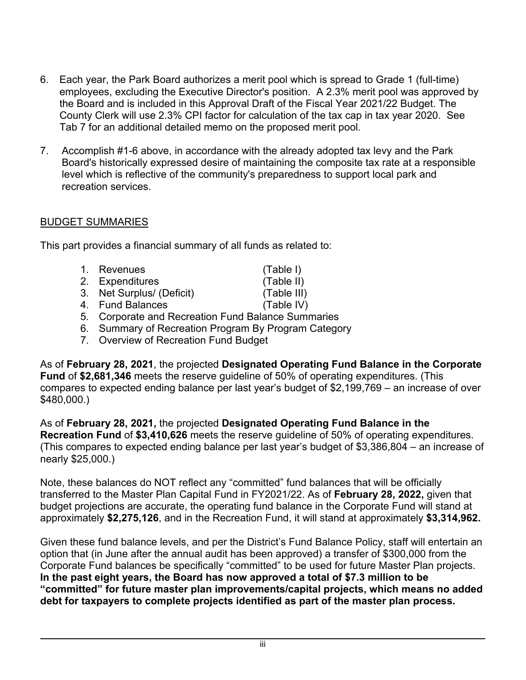- 6. Each year, the Park Board authorizes a merit pool which is spread to Grade 1 (full-time) employees, excluding the Executive Director's position. A 2.3% merit pool was approved by the Board and is included in this Approval Draft of the Fiscal Year 2021/22 Budget. The County Clerk will use 2.3% CPI factor for calculation of the tax cap in tax year 2020. See Tab 7 for an additional detailed memo on the proposed merit pool.
- 7. Accomplish #1-6 above, in accordance with the already adopted tax levy and the Park Board's historically expressed desire of maintaining the composite tax rate at a responsible level which is reflective of the community's preparedness to support local park and recreation services.

### BUDGET SUMMARIES

This part provides a financial summary of all funds as related to:

- 1. Revenues (Table I) 2. Expenditures (Table II) 3. Net Surplus/ (Deficit) (Table III) 4. Fund Balances (Table IV)
- 5. Corporate and Recreation Fund Balance Summaries
- 6. Summary of Recreation Program By Program Category
- 7. Overview of Recreation Fund Budget

As of **February 28, 2021**, the projected **Designated Operating Fund Balance in the Corporate Fund** of **\$2,681,346** meets the reserve guideline of 50% of operating expenditures. (This compares to expected ending balance per last year's budget of \$2,199,769 – an increase of over \$480,000.)

As of **February 28, 2021,** the projected **Designated Operating Fund Balance in the Recreation Fund** of **\$3,410,626** meets the reserve guideline of 50% of operating expenditures. (This compares to expected ending balance per last year's budget of \$3,386,804 – an increase of nearly \$25,000.)

Note, these balances do NOT reflect any "committed" fund balances that will be officially transferred to the Master Plan Capital Fund in FY2021/22. As of **February 28, 2022,** given that budget projections are accurate, the operating fund balance in the Corporate Fund will stand at approximately **\$2,275,126**, and in the Recreation Fund, it will stand at approximately **\$3,314,962.** 

Given these fund balance levels, and per the District's Fund Balance Policy, staff will entertain an option that (in June after the annual audit has been approved) a transfer of \$300,000 from the Corporate Fund balances be specifically "committed" to be used for future Master Plan projects. **In the past eight years, the Board has now approved a total of \$7.3 million to be "committed" for future master plan improvements/capital projects, which means no added debt for taxpayers to complete projects identified as part of the master plan process.**